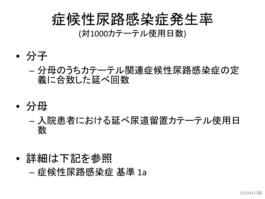#### 症候性尿路感染症発生率 (対1000カテーテル使用日数)

- 分子
	- 分母のうちカテーテル関連症候性尿路感染症の定 義に合致した延べ回数
- 分母
	- 入院患者における延べ尿道留置カテーテル使用日 数
- 詳細は下記を参照 – 症候性尿路感染症 基準 1a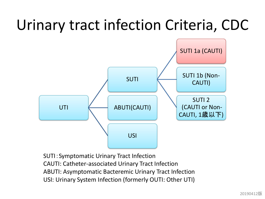# Urinary tract infection Criteria, CDC



SUTI:Symptomatic Urinary Tract Infection CAUTI: Catheter-associated Urinary Tract Infection ABUTI: Asymptomatic Bacteremic Urinary Tract Infection USI: Urinary System Infection (formerly OUTI: Other UTI)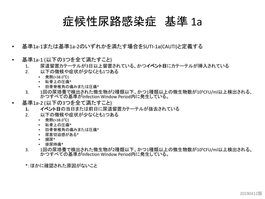#### 症候性尿路感染症 基準 1a

- 基準1a-1または基準1a-2のいずれかを満たす場合をSUTI-1a(CAUTI)と定義する
- 基準1a-1 (以下の3つを全て満たすこと)
	- 1. 尿道留置カテーテルが3日以上留置されている、かつイベント日にカテーテルが挿入されている
	- 2. 以下の徴候や症状が少なくとも1つある
		- 発熱(>38.0℃)
		- 恥骨上の圧痛\*
		- 肋骨脊椎角の痛みまたは圧痛\*
	- 3. 1回の尿培養で検出された微生物が2種類以下、かつ1種類以上の微生物数が10<sup>5</sup>CFU/ml以上検出される、 かつすべての基準がInfection Window Period内に発生している。
- 基準1a-2 (以下の3つを全て満たすこと)
	- **1.** イベント日の当日または前日に尿道留置カテーテルが抜去されている
	- 2. 以下の徴候や症状が少なくとも1つある
		- 発熱(>38.0℃)
		- 恥骨上の圧痛\*
		- 肋骨脊椎角の痛みまたは圧痛\*
		- 尿意切迫感がある\*
		- 頻尿\*
		- 排尿時痛\*
	- 3. <sup>1</sup>回の尿培養で検出された微生物が2種類以下、かつ1種類以上の微生物数が105CFU/ml以上検出される、 かつすべての基準がInfection Window Period内に発生している。
	- \*:ほかに確認された原因がないこと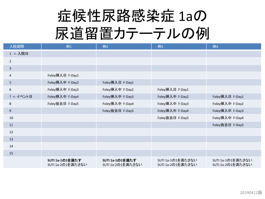# 症候性尿路感染症 1aの 尿道留置カテーテルの例

| 入院期間           | 例1                                   | 例2                                   | 例3                                     | 例4                                     |
|----------------|--------------------------------------|--------------------------------------|----------------------------------------|----------------------------------------|
| 1 <- 入院日       |                                      |                                      |                                        |                                        |
| 2              |                                      |                                      |                                        |                                        |
| $\overline{3}$ |                                      |                                      |                                        |                                        |
| 4              | Foley挿入日 F-Day1                      |                                      |                                        |                                        |
| 5              | Foley挿入中 F-Day2                      | Foley挿入日 F-Day1                      |                                        |                                        |
| 6              | Foley挿入中 F-Day3                      | Foley挿入中 F-Day2                      | Foley挿入日 F-Day1                        |                                        |
| 7<- イベント日      | Foley挿入中 F-Day4                      | Foley挿入中 F-Day3                      | Foley挿入中 F-Day2                        | Foley挿入日 F-Day1                        |
| 8              | Foley抜去日 F-Day5                      | Foley挿入中 F-Day4                      | Foley挿入中 F-Day3                        | Foley挿入中 F-Day2                        |
| 9              |                                      | Foley抜去日 F-Day5                      | Foley挿入中 F-Day4                        | Foley挿入中 F-Day3                        |
| 10             |                                      |                                      | Foley抜去日 F-Day5                        | Foley挿入中 F-Day4                        |
| 11             |                                      |                                      |                                        | Foley抜去日 F-Day5                        |
| 12             |                                      |                                      |                                        |                                        |
| 13             |                                      |                                      |                                        |                                        |
| 14             |                                      |                                      |                                        |                                        |
| 15             |                                      |                                      |                                        |                                        |
|                | SUTI 1a-1の1を満たす<br>SUTI 1a-2の1を満たさない | SUTI 1a-1の1を満たす<br>SUTI 1a-2の1を満たさない | SUTI 1a-1の1を満たさない<br>SUTI 1a-2の1を満たさない | SUTI 1a-1の1を満たさない<br>SUTI 1a-2の1を満たさない |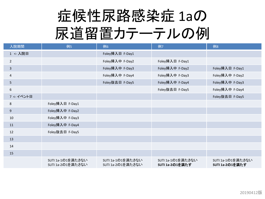# 症候性尿路感染症 1aの 尿道留置カテーテルの例

| 入院期間           | 例5                                     | 例6                                     | 例7                                   | 例8                                   |
|----------------|----------------------------------------|----------------------------------------|--------------------------------------|--------------------------------------|
| 1 <- 入院日       |                                        | Foley挿入日 F-Day1                        |                                      |                                      |
| $\overline{2}$ |                                        | Foley挿入中 F-Day2                        | Foley挿入日 F-Day1                      |                                      |
| 3              |                                        | Foley挿入中 F-Day3                        | Foley挿入中 F-Day2                      | Foley挿入日 F-Day1                      |
| 4              |                                        | Foley挿入中 F-Day4                        | Foley挿入中 F-Day3                      | Foley挿入中 F-Day2                      |
| 5              |                                        | Foley抜去日 F-Day5                        | Foley挿入中 F-Day4                      | Foley挿入中 F-Day3                      |
| 6              |                                        |                                        | Foley抜去日 F-Day5                      | Foley挿入中 F-Day4                      |
| 7<- イベント日      |                                        |                                        |                                      | Foley抜去日 F-Day5                      |
| 8              | Foley挿入日 F-Day1                        |                                        |                                      |                                      |
| 9              | Foley挿入中 F-Day2                        |                                        |                                      |                                      |
| 10             | Foley挿入中 F-Day3                        |                                        |                                      |                                      |
| 11             | Foley挿入中 F-Day4                        |                                        |                                      |                                      |
| 12             | Foley抜去日 F-Day5                        |                                        |                                      |                                      |
| 13             |                                        |                                        |                                      |                                      |
| 14             |                                        |                                        |                                      |                                      |
| 15             |                                        |                                        |                                      |                                      |
|                | SUTI 1a-1の1を満たさない<br>SUTI 1a-2の1を満たさない | SUTI 1a-1の1を満たさない<br>SUTI 1a-2の1を満たさない | SUTI 1a-1の1を満たさない<br>SUTI 1a-2の1を満たす | SUTI 1a-1の1を満たさない<br>SUTI 1a-2の1を満たす |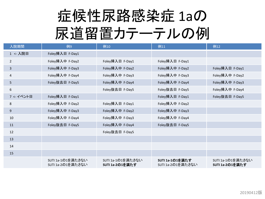# 症候性尿路感染症 1aの 尿道留置カテーテルの例

| 入院期間           | 例9                                     | 例10                                  | 例11                                  | 例12                                  |
|----------------|----------------------------------------|--------------------------------------|--------------------------------------|--------------------------------------|
| 1 <- 入院日       | Foley挿入日 F-Day1                        |                                      |                                      |                                      |
| $\overline{2}$ | Foley挿入中 F-Day2                        | Foley挿入日 F-Day1                      | Foley挿入日 F-Day1                      |                                      |
| $\overline{3}$ | Foley挿入中 F-Day3                        | Foley挿入中 F-Day2                      | Foley挿入中 F-Day2                      | Foley挿入日 F-Day1                      |
| 4              | Foley挿入中 F-Day4                        | Foley挿入中 F-Day3                      | Foley挿入中 F-Day3                      | Foley挿入中 F-Day2                      |
| 5              | Foley抜去日 F-Day5                        | Foley挿入中 F-Day4                      | Foley挿入中 F-Day4                      | Foley挿入中 F-Day3                      |
| 6              |                                        | Foley抜去日 F-Day5                      | Foley抜去日 F-Day5                      | Foley挿入中 F-Day4                      |
| 7<- イベント日      | Foley挿入日 F-Day1                        |                                      | Foley挿入日 F-Day1                      | Foley抜去日 F-Day5                      |
| 8              | Foley挿入中 F-Day2                        | Foley挿入日 F-Day1                      | Foley挿入中 F-Day2                      |                                      |
| 9              | Foley挿入中 F-Day3                        | Foley挿入中 F-Day2                      | Foley挿入中 F-Day3                      |                                      |
| 10             | Foley挿入中 F-Day4                        | Foley挿入中 F-Day3                      | Foley挿入中 F-Day4                      |                                      |
| 11             | Foley抜去日 F-Day5                        | Foley挿入中 F-Day4                      | Foley抜去日 F-Day5                      |                                      |
| 12             |                                        | Foley抜去日 F-Day5                      |                                      |                                      |
| 13             |                                        |                                      |                                      |                                      |
| 14             |                                        |                                      |                                      |                                      |
| 15             |                                        |                                      |                                      |                                      |
|                | SUTI 1a-1の1を満たさない<br>SUTI 1a-2の1を満たさない | SUTI 1a-1の1を満たさない<br>SUTI 1a-2の1を満たす | SUTI 1a-1の1を満たす<br>SUTI 1a-2の1を満たさない | SUTI 1a-1の1を満たさない<br>SUTI 1a-2の1を満たす |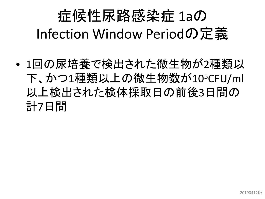# 症候性尿路感染症 1aの Infection Window Periodの定義

• 1回の尿培養で検出された微生物が2種類以 下、かつ1種類以上の微生物数が105CFU/ml 以上検出された検体採取日の前後3日間の 計7日間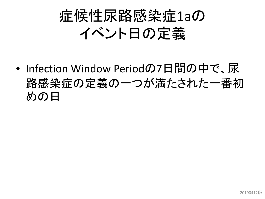# 症候性尿路感染症1aの イベント日の定義

• Infection Window Periodの7日間の中で、尿 路感染症の定義の一つが満たされた一番初 めの日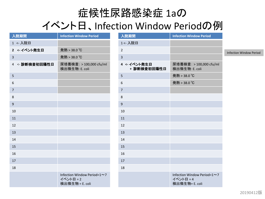#### 症候性尿路感染症 1aの イベント日、Infection Window Periodの例

| 入院期間             | <b>Infection Window Period</b>                              | 入院期間                        | <b>Infection Window Period</b>                             |                                |
|------------------|-------------------------------------------------------------|-----------------------------|------------------------------------------------------------|--------------------------------|
| 1 <- 入院日         |                                                             | 1<- 入院日                     |                                                            |                                |
| 2 <- イベント発生日     | 発熱 > 38.0 ℃                                                 | $\overline{2}$              |                                                            | <b>Infection Window Period</b> |
| $\mathbf{3}$     | 発熱 > 38.0 ℃                                                 | 3                           |                                                            |                                |
| 4 <- 診断検査初回陽性日   | 尿培養検査: > 100,000 cfu/ml<br>検出微生物: E. coli                   | 4 <- イベント発生日<br>+ 診断検査初回陽性日 | 尿培養検査: > 100,000 cfu/ml<br>検出微生物: E. coli                  |                                |
| $5\phantom{.0}$  |                                                             | 5                           | 発熱 > 38.0 ℃                                                |                                |
| $\boldsymbol{6}$ |                                                             | 6                           | 発熱 > 38.0 ℃                                                |                                |
| $\overline{7}$   |                                                             | $\overline{7}$              |                                                            |                                |
| 8                |                                                             | 8                           |                                                            |                                |
| $\boldsymbol{9}$ |                                                             | 9                           |                                                            |                                |
| 10               |                                                             | 10                          |                                                            |                                |
| 11               |                                                             | 11                          |                                                            |                                |
| 12               |                                                             | 12                          |                                                            |                                |
| 13               |                                                             | 13                          |                                                            |                                |
| 14               |                                                             | 14                          |                                                            |                                |
| 15               |                                                             | 15                          |                                                            |                                |
| 16               |                                                             | 16                          |                                                            |                                |
| 17               |                                                             | 17                          |                                                            |                                |
| 18               |                                                             | 18                          |                                                            |                                |
|                  | Infection Window Period=1~7<br>イベント日 = 2<br>検出微生物 = E. coli |                             | Infection Window Period=1~7<br>イベント日 = 4<br>検出微生物= E. coli |                                |
|                  |                                                             |                             |                                                            |                                |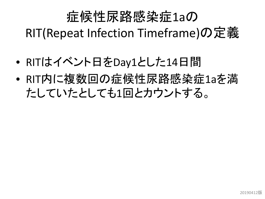#### 症候性尿路感染症1aの RIT(Repeat Infection Timeframe)の定義

- RITはイベント日をDay1とした14日間
- RIT内に複数回の症候性尿路感染症1aを満 たしていたとしても1回とカウントする。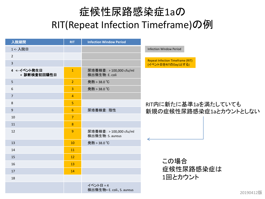#### 症候性尿路感染症1aの RIT(Repeat Infection Timeframe)の例

| 入院期間                        | <b>RIT</b>      | <b>Infection Window Period</b>              |                                                              |
|-----------------------------|-----------------|---------------------------------------------|--------------------------------------------------------------|
| 1<- 入院日                     |                 |                                             | <b>Infection Window Period</b>                               |
| 2                           |                 |                                             |                                                              |
| $\overline{3}$              |                 |                                             | <b>Repeat Infection Timeframe (RI</b><br>(イベント日をRITのDay1とする) |
| 4 <- イベント発生日<br>+ 診断検査初回陽性日 | $\overline{1}$  | 尿培養検査: > 100,000 cfu/ml<br>検出微生物: E. coli   |                                                              |
| 5                           | $\overline{2}$  | 発熱 > 38.0 ℃                                 |                                                              |
| 6                           | $\overline{3}$  | 発熱 > 38.0 ℃                                 |                                                              |
| $\overline{7}$              | 4               |                                             |                                                              |
| 8                           | 5               |                                             | RIT内に新たに基                                                    |
| 9                           | $6\phantom{1}6$ | 尿培養検査: 陰性                                   | 新規の症候性尿路                                                     |
| 10                          | $\overline{7}$  |                                             |                                                              |
| 11                          | 8               |                                             |                                                              |
| 12                          | 9               | 尿培養検査: > 100,000 cfu/ml<br>検出微生物: S. aureus |                                                              |
| 13                          | 10              | 発熱 > 38.0 ℃                                 |                                                              |
| 14                          | 11              |                                             |                                                              |
| 15                          | 12              |                                             |                                                              |
| 16                          | 13              |                                             | この場合                                                         |
| 17                          | 14              |                                             | 症候性尿                                                         |
| 18                          |                 |                                             | 1回とカウ                                                        |
|                             |                 | イベント日 = 4<br>検出微生物= E. coli、S. aureus       |                                                              |

たに基準1aを満たしていても 新規の症候性尿路感染症1aとカウントとしない

imeframe (RIT)

この場合 症候性尿路感染症は とカウント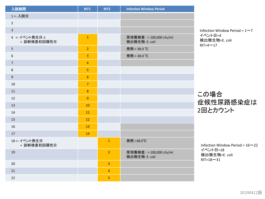| 入院期間                          | RIT1                    | RIT2           | <b>Infection Window Period</b>            |
|-------------------------------|-------------------------|----------------|-------------------------------------------|
| 1<- 入院日                       |                         |                |                                           |
| $\overline{2}$                |                         |                |                                           |
| $\overline{3}$                |                         |                |                                           |
| 4 <- イベント発生日-1<br>+ 診断検査初回陽性日 | $\mathbf 1$             |                | 尿培養検査: > 100,000 cfu/ml<br>検出微生物: E. coli |
| 5                             | $\overline{2}$          |                | 発熱 > 38.0 ℃                               |
| $\boldsymbol{6}$              | $\overline{3}$          |                | 発熱 > 38.0 ℃                               |
| $\sqrt{ }$                    | $\overline{\mathbf{4}}$ |                |                                           |
| 8                             | $\overline{\mathbf{5}}$ |                |                                           |
| $\boldsymbol{9}$              | $6\phantom{1}6$         |                |                                           |
| 10                            | $\overline{7}$          |                |                                           |
| 11                            | $\boldsymbol{8}$        |                |                                           |
| 12                            | $\overline{9}$          |                |                                           |
| 13                            | 10                      |                |                                           |
| 14                            | 11                      |                |                                           |
| 15                            | 12                      |                |                                           |
| 16                            | 13                      |                |                                           |
| 17                            | 14                      |                |                                           |
| 18 <- イベント発生日<br>+ 診断検査初回陽性日  |                         | $\mathbf{1}$   | 発熱 >38.0℃                                 |
| 19                            |                         | $\overline{2}$ | 尿培養検査: > 100,000 cfu/ml<br>検出微生物: E. coli |
| 20                            |                         | $\overline{3}$ |                                           |
| 21                            |                         | $\overline{4}$ |                                           |
| 22                            |                         | $\overline{5}$ |                                           |

Infection Window Period =  $1 \sim 7$ イベント日=4 検出微生物=E. coli  $RIT=4 \sim 17$ 

この場合 症候性尿路感染症は 2回とカウント

Infection Window Period =  $16 \sim 22$ イベント日=18 検出微生物=E. coli  $RIT = 18 - 31$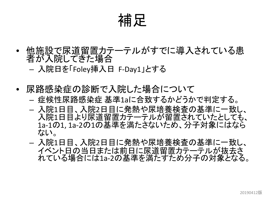補足

• 他施設で尿道留置カテーテルがすでに導入されている患 者が入院してきた場合

– 入院日を「Foley挿入日 F-Day1」とする

- 尿路感染症の診断で入院した場合について – 症候性尿路感染症 基準1aに合致するかどうかで判定する。
	- 入院1日目、入院2日目に発熱や尿培養検査の基準に一致し、 入院1日目より尿道留置カテーテルが留置されていたとしても、 1a-1の1, 1a-2の1の基準を満たさないため、分子対象にはなら ない。
	- 入院1日目、入院2日目に発熱や尿培養検査の基準に一致し、 イベント日の当日または前日に尿道留置カテーテルが抜去さ れている場合には1a-2の基準を満たすため分子の対象となる。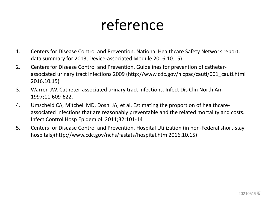#### reference

- 1. Centers for Disease Control and Prevention. National Healthcare Safety Network report, data summary for 2013, Device-associated Module 2016.10.15)
- 2. Centers for Disease Control and Prevention. Guidelines for prevention of catheterassociated urinary tract infections 2009 (http://www.cdc.gov/hicpac/cauti/001\_cauti.html 2016.10.15)
- 3. Warren JW. Catheter-associated urinary tract infections. Infect Dis Clin North Am 1997;11:609-622.
- 4. Umscheid CA, Mitchell MD, Doshi JA, et al. Estimating the proportion of healthcareassociated infections that are reasonably preventable and the related mortality and costs. Infect Control Hosp Epidemiol. 2011;32:101-14
- 5. Centers for Disease Control and Prevention. Hospital Utilization (in non-Federal short-stay hospitals)(http://www.cdc.gov/nchs/fastats/hospital.htm 2016.10.15)